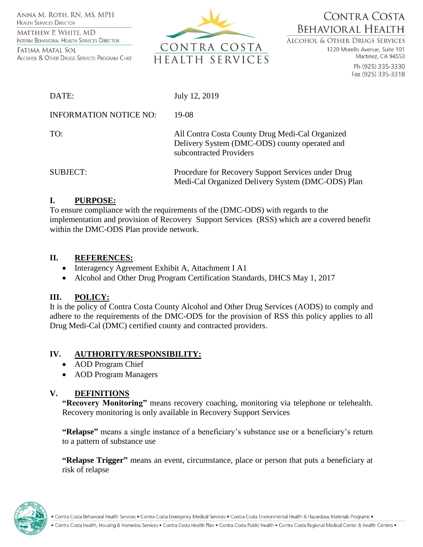ANNA M. ROTH. RN. MS. MPH **HEALTH SERVICES DIRECTOR** 

MATTHEW P. WHITE, MD INTERIM BEHAVIORAL HEALTH SERVICES DIRECTOR

FATIMA MATAL SOL ALCOHOL & OTHER DRUGS SERVICES PROGRAM CHIEF



CONTRA COSTA **BEHAVIORAL HEALTH** 

**ALCOHOL & OTHER DRUGS SERVICES** 

1220 Morello Avenue, Suite 101 Martinez, CA 94553

> Ph (925) 335-3330 Fax (925) 335-3318

| DATE:                         | July 12, 2019                                                                                                               |
|-------------------------------|-----------------------------------------------------------------------------------------------------------------------------|
| <b>INFORMATION NOTICE NO:</b> | 19-08                                                                                                                       |
| TO:                           | All Contra Costa County Drug Medi-Cal Organized<br>Delivery System (DMC-ODS) county operated and<br>subcontracted Providers |
| <b>SUBJECT:</b>               | Procedure for Recovery Support Services under Drug<br>Medi-Cal Organized Delivery System (DMC-ODS) Plan                     |

### **I. PURPOSE:**

To ensure compliance with the requirements of the (DMC-ODS) with regards to the implementation and provision of Recovery Support Services (RSS) which are a covered benefit within the DMC-ODS Plan provide network.

### **II. REFERENCES:**

- Interagency Agreement Exhibit A, Attachment I A1
- Alcohol and Other Drug Program Certification Standards, DHCS May 1, 2017

## **III. POLICY:**

It is the policy of Contra Costa County Alcohol and Other Drug Services (AODS) to comply and adhere to the requirements of the DMC-ODS for the provision of RSS this policy applies to all Drug Medi-Cal (DMC) certified county and contracted providers.

## **IV. AUTHORITY/RESPONSIBILITY:**

- AOD Program Chief
- AOD Program Managers

## **V. DEFINITIONS**

**"Recovery Monitoring"** means recovery coaching, monitoring via telephone or telehealth. Recovery monitoring is only available in Recovery Support Services

**"Relapse"** means a single instance of a beneficiary's substance use or a beneficiary's return to a pattern of substance use

**"Relapse Trigger"** means an event, circumstance, place or person that puts a beneficiary at risk of relapse



. Contra Costa Behavioral Health Services . Contra Costa Emergency Medical Services . Contra Costa Environmental Health & Hazardous Materials Programs .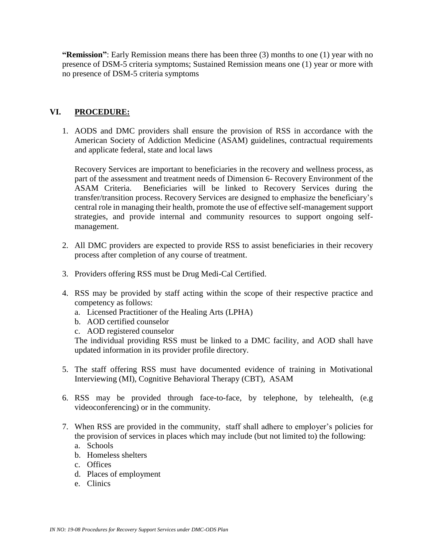**"Remission"**: Early Remission means there has been three (3) months to one (1) year with no presence of DSM-5 criteria symptoms; Sustained Remission means one (1) year or more with no presence of DSM-5 criteria symptoms

## **VI. PROCEDURE:**

1. AODS and DMC providers shall ensure the provision of RSS in accordance with the American Society of Addiction Medicine (ASAM) guidelines, contractual requirements and applicate federal, state and local laws

Recovery Services are important to beneficiaries in the recovery and wellness process, as part of the assessment and treatment needs of Dimension 6- Recovery Environment of the ASAM Criteria. Beneficiaries will be linked to Recovery Services during the transfer/transition process. Recovery Services are designed to emphasize the beneficiary's central role in managing their health, promote the use of effective self-management support strategies, and provide internal and community resources to support ongoing selfmanagement.

- 2. All DMC providers are expected to provide RSS to assist beneficiaries in their recovery process after completion of any course of treatment.
- 3. Providers offering RSS must be Drug Medi-Cal Certified.
- 4. RSS may be provided by staff acting within the scope of their respective practice and competency as follows:
	- a. Licensed Practitioner of the Healing Arts (LPHA)
	- b. AOD certified counselor
	- c. AOD registered counselor

The individual providing RSS must be linked to a DMC facility, and AOD shall have updated information in its provider profile directory.

- 5. The staff offering RSS must have documented evidence of training in Motivational Interviewing (MI), Cognitive Behavioral Therapy (CBT), ASAM
- 6. RSS may be provided through face-to-face, by telephone, by telehealth, (e.g videoconferencing) or in the community.
- 7. When RSS are provided in the community, staff shall adhere to employer's policies for the provision of services in places which may include (but not limited to) the following:
	- a. Schools
	- b. Homeless shelters
	- c. Offices
	- d. Places of employment
	- e. Clinics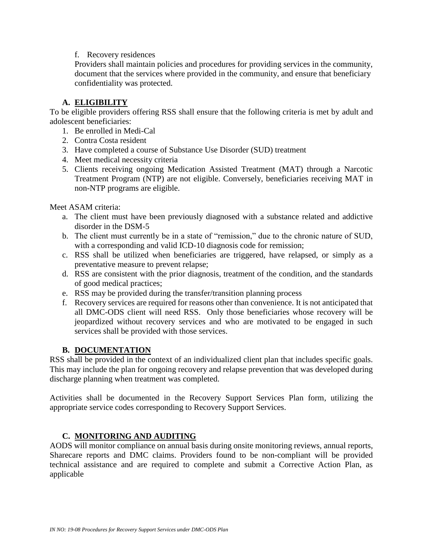### f. Recovery residences

 Providers shall maintain policies and procedures for providing services in the community, document that the services where provided in the community, and ensure that beneficiary confidentiality was protected.

# **A. ELIGIBILITY**

To be eligible providers offering RSS shall ensure that the following criteria is met by adult and adolescent beneficiaries:

- 1. Be enrolled in Medi-Cal
- 2. Contra Costa resident
- 3. Have completed a course of Substance Use Disorder (SUD) treatment
- 4. Meet medical necessity criteria
- 5. Clients receiving ongoing Medication Assisted Treatment (MAT) through a Narcotic Treatment Program (NTP) are not eligible. Conversely, beneficiaries receiving MAT in non-NTP programs are eligible.

Meet ASAM criteria:

- a. The client must have been previously diagnosed with a substance related and addictive disorder in the DSM-5
- b. The client must currently be in a state of "remission," due to the chronic nature of SUD, with a corresponding and valid ICD-10 diagnosis code for remission;
- c. RSS shall be utilized when beneficiaries are triggered, have relapsed, or simply as a preventative measure to prevent relapse;
- d. RSS are consistent with the prior diagnosis, treatment of the condition, and the standards of good medical practices;
- e. RSS may be provided during the transfer/transition planning process
- f. Recovery services are required for reasons other than convenience. It is not anticipated that all DMC-ODS client will need RSS. Only those beneficiaries whose recovery will be jeopardized without recovery services and who are motivated to be engaged in such services shall be provided with those services.

## **B. DOCUMENTATION**

RSS shall be provided in the context of an individualized client plan that includes specific goals. This may include the plan for ongoing recovery and relapse prevention that was developed during discharge planning when treatment was completed.

Activities shall be documented in the Recovery Support Services Plan form, utilizing the appropriate service codes corresponding to Recovery Support Services.

## **C. MONITORING AND AUDITING**

AODS will monitor compliance on annual basis during onsite monitoring reviews, annual reports, Sharecare reports and DMC claims. Providers found to be non-compliant will be provided technical assistance and are required to complete and submit a Corrective Action Plan, as applicable